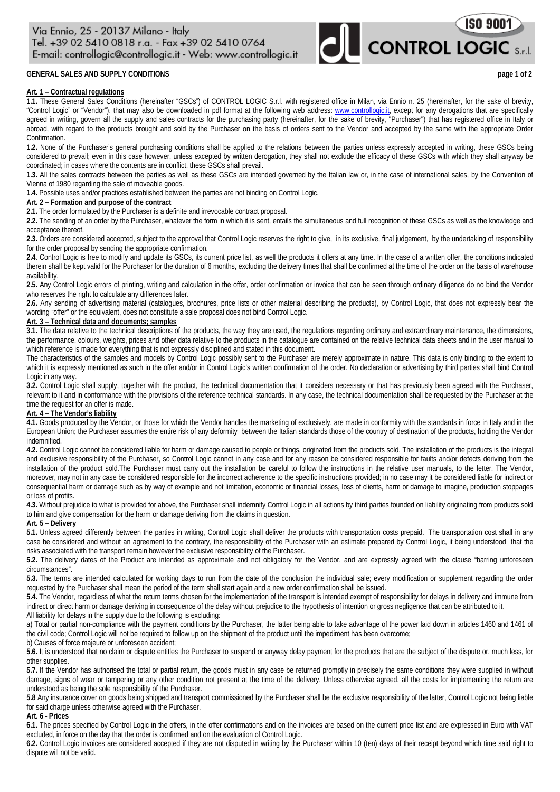# **GENERAL SALES AND SUPPLY CONDITIONS page 1 of 2**

### **Art. 1 – Contractual regulations**

**1.1.** These General Sales Conditions (hereinafter "GSCs") of CONTROL LOGIC S.r.l. with registered office in Milan, via Ennio n. 25 (hereinafter, for the sake of brevity, "Control Logic" or "Vendor"), that may also be downloaded in pdf format at the following web address: [www.controllogic.it,](http://www.controllogic.it/) except for any derogations that are specifically agreed in writing, govern all the supply and sales contracts for the purchasing party (hereinafter, for the sake of brevity, "Purchaser") that has registered office in Italy or abroad, with regard to the products brought and sold by the Purchaser on the basis of orders sent to the Vendor and accepted by the same with the appropriate Order Confirmation.

**1.2.** None of the Purchaser's general purchasing conditions shall be applied to the relations between the parties unless expressly accepted in writing, these GSCs being considered to prevail; even in this case however, unless excepted by written derogation, they shall not exclude the efficacy of these GSCs with which they shall anyway be coordinated; in cases where the contents are in conflict, these GSCs shall prevail.

**1.3.** All the sales contracts between the parties as well as these GSCs are intended governed by the Italian law or, in the case of international sales, by the Convention of Vienna of 1980 regarding the sale of moveable goods.

**1.4.** Possible uses and/or practices established between the parties are not binding on Control Logic.

### **Art. 2 – Formation and purpose of the contract**

**2.1.** The order formulated by the Purchaser is a definite and irrevocable contract proposal.

**2.2.** The sending of an order by the Purchaser, whatever the form in which it is sent, entails the simultaneous and full recognition of these GSCs as well as the knowledge and acceptance thereof.

2.3. Orders are considered accepted, subject to the approval that Control Logic reserves the right to give, in its exclusive, final judgement, by the undertaking of responsibility for the order proposal by sending the appropriate confirmation.

**2.4**. Control Logic is free to modify and update its GSCs, its current price list, as well the products it offers at any time. In the case of a written offer, the conditions indicated therein shall be kept valid for the Purchaser for the duration of 6 months, excluding the delivery times that shall be confirmed at the time of the order on the basis of warehouse availability.

**2.5.** Any Control Logic errors of printing, writing and calculation in the offer, order confirmation or invoice that can be seen through ordinary diligence do no bind the Vendor who reserves the right to calculate any differences later.

**2.6.** Any sending of advertising material (catalogues, brochures, price lists or other material describing the products), by Control Logic, that does not expressly bear the wording "offer" or the equivalent, does not constitute a sale proposal does not bind Control Logic.

## **Art. 3 – Technical data and documents; samples**

**3.1.** The data relative to the technical descriptions of the products, the way they are used, the regulations regarding ordinary and extraordinary maintenance, the dimensions, the performance, colours, weights, prices and other data relative to the products in the catalogue are contained on the relative technical data sheets and in the user manual to which reference is made for everything that is not expressly disciplined and stated in this document.

The characteristics of the samples and models by Control Logic possibly sent to the Purchaser are merely approximate in nature. This data is only binding to the extent to which it is expressly mentioned as such in the offer and/or in Control Logic's written confirmation of the order. No declaration or advertising by third parties shall bind Control Logic in any way.

**3.2.** Control Logic shall supply, together with the product, the technical documentation that it considers necessary or that has previously been agreed with the Purchaser, relevant to it and in conformance with the provisions of the reference technical standards. In any case, the technical documentation shall be requested by the Purchaser at the time the request for an offer is made.

### **Art. 4 – The Vendor's liability**

**4.1.** Goods produced by the Vendor, or those for which the Vendor handles the marketing of exclusively, are made in conformity with the standards in force in Italy and in the European Union; the Purchaser assumes the entire risk of any deformity between the Italian standards those of the country of destination of the products, holding the Vendor indemnified.

**4.2.** Control Logic cannot be considered liable for harm or damage caused to people or things, originated from the products sold. The installation of the products is the integral and exclusive responsibility of the Purchaser, so Control Logic cannot in any case and for any reason be considered responsible for faults and/or defects deriving from the installation of the product sold.The Purchaser must carry out the installation be careful to follow the instructions in the relative user manuals, to the letter. The Vendor, moreover, may not in any case be considered responsible for the incorrect adherence to the specific instructions provided; in no case may it be considered liable for indirect or consequential harm or damage such as by way of example and not limitation, economic or financial losses, loss of clients, harm or damage to imagine, production stoppages or loss of profits.

**4.3.** Without prejudice to what is provided for above, the Purchaser shall indemnify Control Logic in all actions by third parties founded on liability originating from products sold to him and give compensation for the harm or damage deriving from the claims in question.

# **Art. 5 – Delivery**

**5.1.** Unless agreed differently between the parties in writing, Control Logic shall deliver the products with transportation costs prepaid. The transportation cost shall in any case be considered and without an agreement to the contrary, the responsibility of the Purchaser with an estimate prepared by Control Logic, it being understood that the risks associated with the transport remain however the exclusive responsibility of the Purchaser.

**5.2.** The delivery dates of the Product are intended as approximate and not obligatory for the Vendor, and are expressly agreed with the clause "barring unforeseen circumstances".

**5.3.** The terms are intended calculated for working days to run from the date of the conclusion the individual sale; every modification or supplement regarding the order requested by the Purchaser shall mean the period of the term shall start again and a new order confirmation shall be issued.

**5.4.** The Vendor, regardless of what the return terms chosen for the implementation of the transport is intended exempt of responsibility for delays in delivery and immune from indirect or direct harm or damage deriving in consequence of the delay without prejudice to the hypothesis of intention or gross negligence that can be attributed to it. All liability for delays in the supply due to the following is excluding:

a) Total or partial non-compliance with the payment conditions by the Purchaser, the latter being able to take advantage of the power laid down in articles 1460 and 1461 of the civil code; Control Logic will not be required to follow up on the shipment of the product until the impediment has been overcome;

b) Causes of force majeure or unforeseen accident;

**5.6.** It is understood that no claim or dispute entitles the Purchaser to suspend or anyway delay payment for the products that are the subject of the dispute or, much less, for other supplies.

**5.7.** If the Vendor has authorised the total or partial return, the goods must in any case be returned promptly in precisely the same conditions they were supplied in without damage, signs of wear or tampering or any other condition not present at the time of the delivery. Unless otherwise agreed, all the costs for implementing the return are understood as being the sole responsibility of the Purchaser.

**5.8** Any insurance cover on goods being shipped and transport commissioned by the Purchaser shall be the exclusive responsibility of the latter, Control Logic not being liable for said charge unless otherwise agreed with the Purchaser.

### **Art. 6 - Prices**

**6.1.** The prices specified by Control Logic in the offers, in the offer confirmations and on the invoices are based on the current price list and are expressed in Euro with VAT excluded, in force on the day that the order is confirmed and on the evaluation of Control Logic.

**6.2.** Control Logic invoices are considered accepted if they are not disputed in writing by the Purchaser within 10 (ten) days of their receipt beyond which time said right to dispute will not be valid.